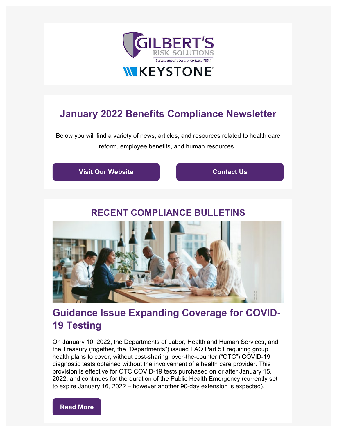

# **January 2022 Benefits Compliance Newsletter**

Below you will find a variety of news, articles, and resources related to health care reform, employee benefits, and human resources.

**[Visit Our Website](https://www.gilbertsrisksolutions.com/?utm_campaign=Benefits_Newsletter&utm_source=hs_email&utm_medium=email&_hsenc=p2ANqtz--pnsuSNiyW-eq89gl1X9RQfiSsQfD12tNWGmJkNEXWBfFYbc-aBMAbHdbBz5Jq-L_Yps1f) [Contact Us](mailto:jginnis@gilbertsrisksolutions.com)** 

## **RECENT COMPLIANCE BULLETINS**



# **Guidance Issue Expanding Coverage for COVID-19 Testing**

On January 10, 2022, the Departments of Labor, Health and Human Services, and the Treasury (together, the "Departments") issued FAQ Part 51 requiring group health plans to cover, without cost-sharing, over-the-counter ("OTC") COVID-19 diagnostic tests obtained without the involvement of a health care provider. This provision is effective for OTC COVID-19 tests purchased on or after January 15, 2022, and continues for the duration of the Public Health Emergency (currently set to expire January 16, 2022 – however another 90-day extension is expected).